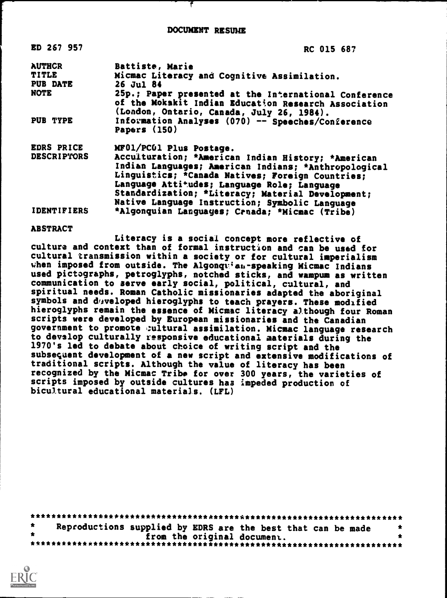DOCUMENT RESUME

| ED 267 957         | RC 015 687                                                                                                                                                 |
|--------------------|------------------------------------------------------------------------------------------------------------------------------------------------------------|
| <b>AUTHCR</b>      | Battiste, Marie                                                                                                                                            |
| <b>TITLE</b>       | Micmac Literacy and Cognitive Assimilation.                                                                                                                |
| <b>PUB DATE</b>    | 26 Jul 84                                                                                                                                                  |
| <b>NOTE</b>        | 25p.; Paper presented at the International Conference<br>of the Mokakit Indian Education Research Association<br>(London, Ontario, Canada, July 26, 1984). |
| PUB TYPE           | Information Analyses (070) -- Speeches/Conference<br>Papers (150)                                                                                          |
| EDRS PRICE         | MF01/PC01 Plus Postage.                                                                                                                                    |
| <b>DESCRIPTORS</b> | Acculturation; *American Indian History; *American                                                                                                         |
|                    | Indian Languages; American Indians; *Anthropological                                                                                                       |
|                    | Linguistics; *Canada Natives; Foreign Countries;                                                                                                           |
|                    | Language Attitudes; Language Role; Language                                                                                                                |
|                    | Standardization; *Literacy; Material Development;                                                                                                          |
|                    | Native Language Instruction; Symbolic Language                                                                                                             |
| <b>IDENTIFIERS</b> | *Algonquian Languages; Crnada; *Micmac (Tribe)                                                                                                             |

#### ABSTRACT

Literacy is a social concept more reflective of culture and context than of formal instruction and can be used for cultural transmission within a society or for cultural imperialism when imposed from outside. The Algonquizan-speaking Micmac Indians used pictographs, petroglyphs, notched sticks, and wampum as written communication to serve early social, political, cultural, and spiritual needs. Roman Catholic missionaries adapted the aboriginal symbols and developed hieroglyphs to teach prayers. These modified hieroglyphs remain the essence of Micmac literacy although four Roman scripts were developed by European missionaries and the Canadian government to promote cultural assimilation. Micmac language research to devslop culturally responsive educational materials during the 1970's led to debate about choice of writing script and the subsequent development of a new script and extensive modifications of traditional scripts. Although the value of literacy has been recognized by the Micmac Tribe for over 300 years, the varieties of scripts imposed by outside cultures has impeded production of bicultural educational materials. (LFL)

|  | Reproductions supplied by EDRS are the best that can be made |  |                             |  |  |  |  |  |  |
|--|--------------------------------------------------------------|--|-----------------------------|--|--|--|--|--|--|
|  |                                                              |  | from the original document. |  |  |  |  |  |  |
|  |                                                              |  |                             |  |  |  |  |  |  |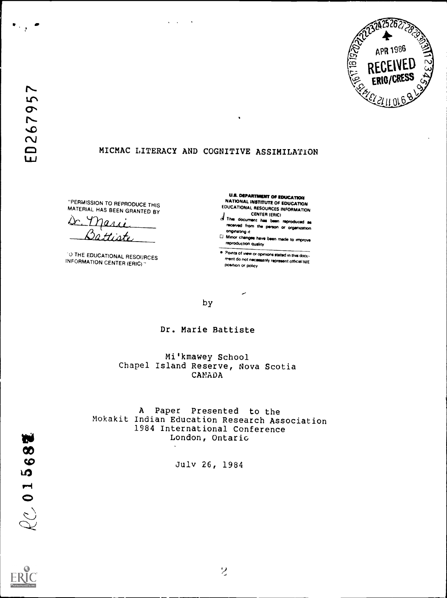

### MICMAC LITERACY AND COGNITIVE ASSIMILATION

 $\sim$ 

 $\ddot{\phantom{a}}$ 

"PERMISSION TO REPRODUCE THIS MATERIAL HAS BEEN GRANTED BY

 $\alpha$ Dattiste

0 THE EDUCATIONAL RESOURCES INFORMATION CENTER (ERIC)"

U.S. DEPARTMENT Of EDUCATION NATIONAL INSTITUTE OF EDUCATION EDUCATIONAL RESOURCES INFORMATION

d The document has been reproduced as received from the person or organization ongmseng rt

Minor changes hays been made to improve reproduction quality

Points of view or opinions stated in this docu- ment do not nclassenty represent official NIE position or policy

by

Dr. Marie Battiste

Mi'kmawey School Chapel Island Reserve, Nova Scotia CANADA

A Paper Presented to the Mokakit Indian Education Research Association 1984 International Conference London, Ontario

July 26, 1984

W

 $Q_C$  01568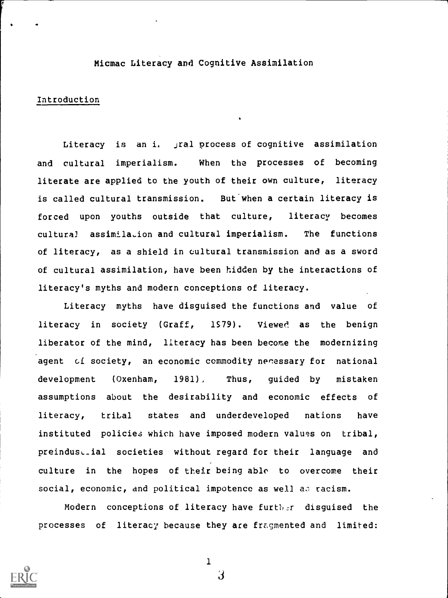### Micmac Literacy and Cognitive Assimilation

### Introduction

Literacy is an i. jral process of cognitive assimilation and cultural imperialism. When the processes of becoming literate are applied to the youth of their own culture, literacy is called cultural transmission. But when a certain literacy is forced upon youths outside that culture, literacy becomes cultural assimilation and cultural imperialism. The functions of literacy, as a shield in cultural transmission and as a sword of cultural assimilation, have been hidden by the interactions of literacy's myths and modern conceptions of literacy.

Literacy myths have disguised the functions and value of literacy in society (Graff, 1979). Viewed as the benign liberator of the mind, literacy has been become the modernizing agent cf society, an economic commodity necessary for national development (Oxenham, 1981), Thus, guided by mistaken assumptions about the desirability and economic effects of literacy, tribal states and underdeveloped nations have instituted policies which have imposed modern values on tribal, preindustial societies without regard for their language and culture in the hopes of their being able to overcome their social, economic, and political impotence as well as racism.

Modern conceptions of literacy have further disguised the processes of literacy because they are fragmented and limited:



1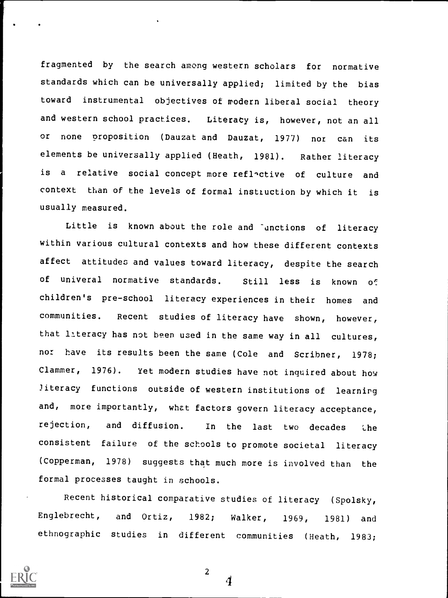fragmented by the search among western scholars for normative standards which can be universally applied; limited by the bias toward instrumental objectives of modern liberal social theory and western school practices. Literacy is, however, not an all or none proposition (Dauzat and Dauzat, 1977) nor can its elements be universally applied (Heath, 1981). Rather literacy is a relative social concept more reflactive of culture and context than of the levels of formal instruction by which it is usually measured.

Little is known about the role and "unctions of literacy within various cultural contexts and how these different contexts affect attitudes and values toward literacy, despite the search of univeral normative standards. Still less is known of children's pre-school literacy experiences in their homes and communities. Recent studies of literacy have shown, however, that Literacy has not been used in the same way in all cultures, nor have its results been the same (Cole and Scribner, 1978; Clammer, 1976). Yet modern studies have not inquired about how literacy functions outside of western institutions of learning and, more importantly, whet factors govern literacy acceptance, rejection, and diffusion. In the last two decades the consistent failure of the schools to promote societal literacy (Copperman, 1978) suggests that much more is involved than the formal processes taught in schools.

Recent historical comparative studies of literacy (Spolsky, Englebrecht, and Ortiz, 1982; Walker, 1969, 1981) and ethnographic studies in different communities (Heath, 1983;



2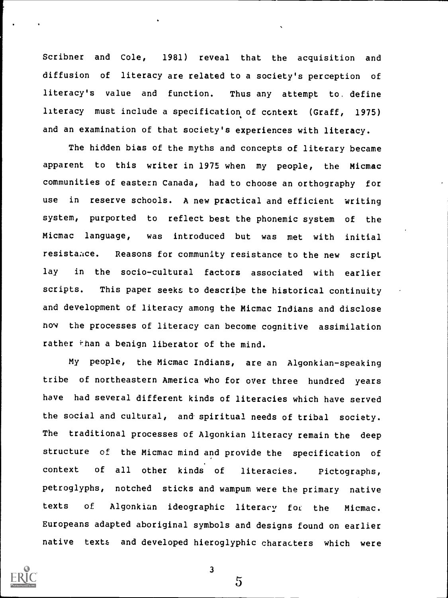Scribner and Cole, 1981) reveal that the acquisition and diffusion of literacy are related to a society's perception of literacy's value and function. Thus any attempt to. define literacy must include a specification of context (Graff, 1975) and an examination of that society's experiences with literacy.

The hidden bias of the myths and concepts of literary became apparent to this writer in 1975 when my people, the Micmac communities of eastern Canada, had to choose an orthography for use in reserve schools. A new practical and efficient writing system, purported to reflect best the phonemic system of the Micmac language, was introduced but was met with initial resistaace. Reasons for community resistance to the new script lay in the socio-cultural factors associated with earlier scripts. This paper seeks to describe the historical continuity and development of literacy among the Micmac Indians and disclose now the processes of literacy can become cognitive assimilation rather than a benign liberator of the mind.

My people, the Micmac Indians, are an Algonkian-speaking tribe of northeastern America who for over three hundred years have had several different kinds of literacies which have served the social and cultural, and spiritual needs of tribal society. The traditional processes of Algonkian literacy remain the deep structure of the Micmac mind and provide the specification of context of all other kinds of literacies. Pictographs, petroglyphs, notched sticks and wampum were the primary native texts of Algonkian ideographic literacy foi the Micmac. Europeans adapted aboriginal symbols and designs found on earlier native texts and developed hieroglyphic characters which were



3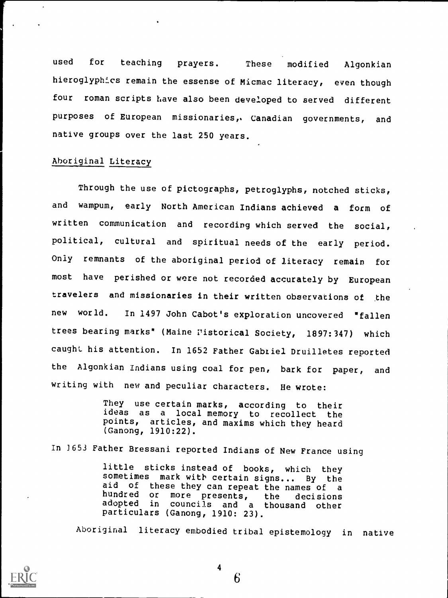used for teaching prayers. These modified Algonkian hieroglyphics remain the essense of Micmac literacy, even though four roman scripts have also been developed to served different purposes of European missionaries,. Canadian governments, and native groups over the last 250 years.

### Aboriginal Literacy

Through the use of pictographs, petroglyphs, notched sticks, and wampum, early North American Indians achieved <sup>a</sup> form of written communication and recording which served the social, political, cultural and spiritual needs of the early period. Only remnants of the aboriginal period of literacy remain for most have perished or were not recorded accurately by European travelers and missionaries in their written observations of the new world. In 1497 John Cabot's exploration uncovered "fallen trees bearing marks" (Maine Pistorical Society, 1897:347) which caught his attention. In 1652 Father Gabriel Druilletes reported the Algonkian Indians using coal for pen, bark for paper, and writing with new and peculiar characters. He wrote:

> They use certain marks, according to their ideas as a local memory to recollect the points, articles, and maxims which they heard (Ganong, 1910:22).

In 3653 Father Bressani reported Indians of New France using

little sticks instead of books, which they sometimes mark with certain signs... By the aid of these they can repeat the names of <sup>a</sup> hundred or more presents, the decisions councils and a thousand other particulars (Ganong, 1910: 23).

Aboriginal literacy embodied tribal epistemology in native



4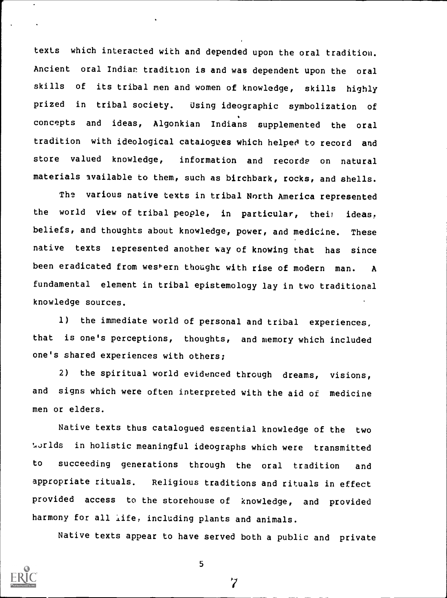texts which interacted with and depended upon the oral tradition. Ancient oral Indian tradition is and was dependent upon the oral skills of its tribal men and women of knowledge, skills highly prized in tribal society. Using ideographic symbolization of concepts and ideas, Algonkian Indians supplemented the oral tradition with ideological catalogues which helped to record and store valued knowledge, information and records on natural materials available to them, such as birchbark, rocks, and shells.

The various native texts in tribal North America represented the world view of tribal people, in particular, their ideas, beliefs, and thoughts about knowledge, power, and medicine. These native texts represented another way of knowing that has since been eradicated from western thought with rise of modern man. A fundamental element in tribal epistemology lay in two traditional knowledge sources.

1) the immediate world of personal and tribal experiences, that is one's perceptions, thoughts, and memory which included one's shared experiences with others;

2) the spiritual world evidenced through dreams, visions, and signs which were often interpreted with the aid of medicine men or elders.

Native texts thus catalogued essential knowledge of the two t,orlds in holistic meaningful ideographs which were transmitted to succeeding generations through the oral tradition and appropriate rituals. Religious traditions and rituals in effect provided access to the storehouse of knowledge, and provided harmony for all life, including plants and animals.

Native texts appear to have served both a public and private

 $\overline{7}$ 

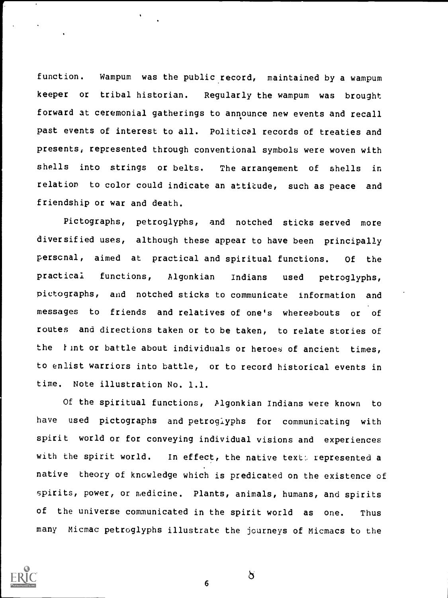function. Wampum was the public record, maintained by a wampum keeper or tribal historian. Regularly the wampum was brought forward at ceremonial gatherings to announce new events and recall past events of interest to all. Political records of treaties and presents, represented through conventional symbols were woven with shells into strings or belts. The arrangement of shells in relation to color could indicate an attitude, such as peace and friendship or war and death.

Pictographs, petroglyphs, and notched sticks served more diversified uses, although these appear to have been principally personal, aimed at practical and spiritual functions. Of the practical functions, Algonkian Indians used petroglyphs, pictographs, and notched sticks to communicate information and messages to friends and relatives of one's whereabouts or of routes and directions taken or to be taken, to relate stories of the *Y* int or battle about individuals or heroes of ancient times, to enlist warriors into battle, or to record historical events in time. Note illustration No. 1.1.

Of the spiritual functions, Plgonkian Indians were known to have used pictographs and petroglyphs for communicating with spirit world or for conveying individual visions and experiences with the spirit world. In effect, the native text: represented a native theory of knowledge which is predicated on the existence of spirits, power, or medicine. Plants, animals, humans, and spirits of the universe communicated in the spirit world as one. Thus many Micmac petroglyphs illustrate the journeys of Micmacs to the



6

 $\delta$  and  $\delta$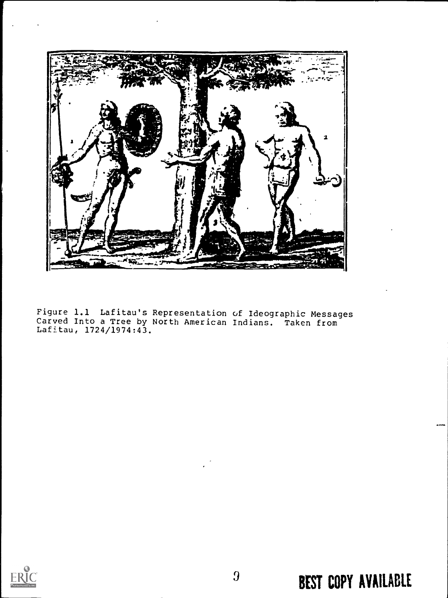

Figure 1.1 Lafitau's Representation of Ideographic Messages Carved Into a Tree by North American Indians. Taken from Lafitau, 1724/1974:43.



# BEST COPY AVAILABLE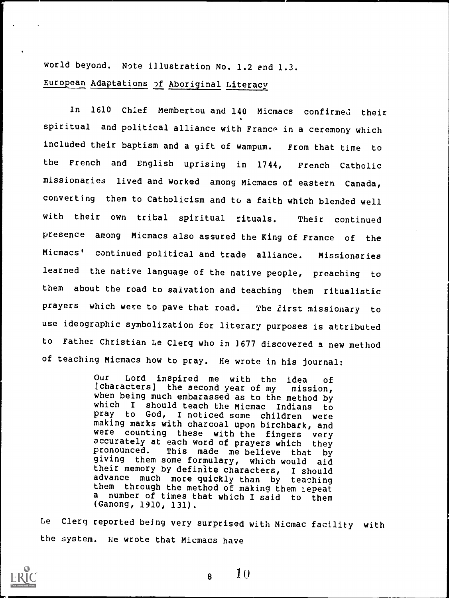world beyond. Note illustration No, 1.2 and 1.3. European Adaptations of Aboriginal Literacy

In 1610 Chief Membertou and 140 Micmacs confirmed their spiritual and political alliance with France in a ceremony which included their baptism and a gift of wampum. From that time to the French and English uprising in 1744, French Catholic missionaries lived and worked among Micmacs of eastern Canada, converting them to Catholicism and to a faith which blended well with their own tribal spiritual rituals. Their continued presence among Micmacs also assured the King of France of the Micmacs' continued political and trade alliance. Missionaries learned the native language of the native people, preaching to them about the road to salvation and teaching them ritualistic prayers which were to pave that road. The *lirst* missionary to use ideographic symbolization for literary purposes is attributed to Father Christian Le Clerq who in 1677 discovered a new method of teaching Micmacs how to pray. He wrote in his journal:

> Our Lord inspired me with the idea of [characters] the second year of my mission, when being much embarassed as to the method by which <sup>I</sup> should teach the Micmac Indians to pray to God, I noticed some children were making marks with charcoal upon birchbark, and<br>were counting these with the fingers yery were counting these with the fingers very<br>accurately at each word of prayers which they pronounced. This made me believe that by giving them some formulary, which would aid their memory by definite characters, I should advance much more quickly than by teaching them through the method of making them repeat<br>a number of times that which I caid to them number of times that which I said to them (Ganong, 1910, 131).

Le Clerq reported being very surprised with Micmac facility with the system. He wrote that Micmacs have



 $8 \t10$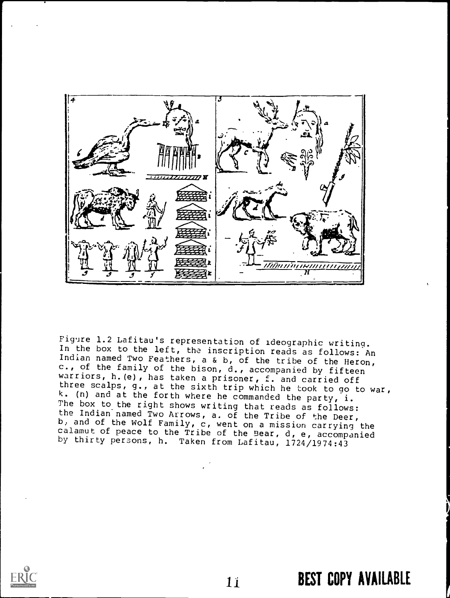

Figure 1.2 Lafitau's representation of ideographic writing.<br>In the box to the left, the inscription reads as follows: An<br>Indian named Two Feathers, a & b, of the tribe of the Heron,<br>c., of the family of the bison, d., acco warriors, h.(e), has taken a prisoner, f. and carried off three scalps, g., at the sixth trip which he took to go to war,  $k.$  (n) and at the forth where he commanded the party, i. k. (n) and at the forth where he commanded the party, i.<br>The box to the right shows writing that reads as follows:<br>the Indian areal The lumbs the Indian named Two Arrows, a. of the Tribe of the Deer, b, and of the Wolf Family, c, went on a mission carrying the calamut of peace to the Tribe of the Bear, d, e, accompanied by thirty persons, h. Taken from Lafitau, 1724/1974:43

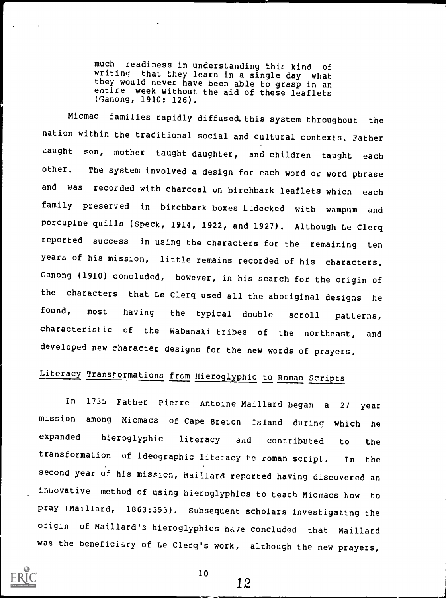much readiness in understanding this kind of writing that they learn in a single day what they would never have been able to grasp in an entire week without the aid of these leaflets (Ganong, 1910: 126).

Micmac families rapidly diffused. this system throughout the nation within the traditional social and cultural contexts. Father caught son, mother taught daughter, and children taught each other. The system involved a design for each word or word phrase and was recorded with charcoal on birchbark leaflets which each family preserved in birchbark boxes Ladecked with wampum and porcupine quills (Speck, 1914, 1922, and 1927). Although Le Clerq reported success in using the characters for the remaining ten years of his mission, little remains recorded of his characters. Ganong (1910) concluded, however, in his search for the origin of the characters that Le Clerq used all the aboriginal designs he found, most having the typical double scroll patterns, characteristic of the Wabanaki tribes of the northeast, and developed new character designs for the new words of prayers.

## Literacy Transformations from Hieroglyphic to Roman Scripts

In <sup>1735</sup> Father Pierre Antoine Maillard began <sup>a</sup> 2/ year mission among Micmacs of Cape Breton Island during which he expanded hieroglyphic literacy and contributed to the transformation of ideographic literacy to roman script. In the second year of his mission, Maillard reported having discovered an innovative method of using hieroglyphics to teach Micmacs how to pray (Maillard, 1863:355). Subsequent scholars investigating the origin of Maillard's hieroglyphics have concluded that Maillard was the beneficiary of Le Clerq's work, although the new prayers,



10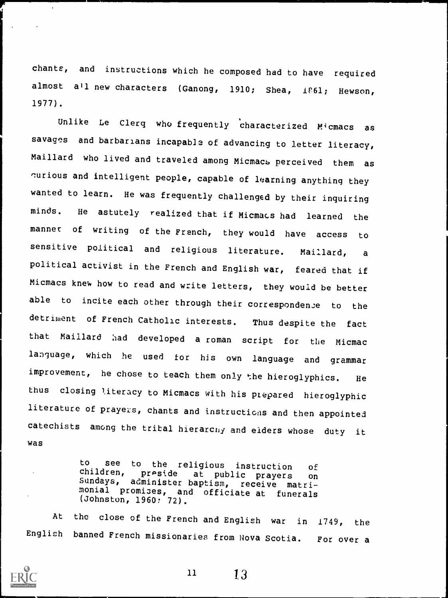chants, and instructions which he composed had to have required almost all new characters (Ganong, 1910; Shea, 1861; Hewson, 1977).

Unlike Le Clerq who frequently characterized Micmacs as savages and barbarians incapable of advancing to letter literacy, Maillard who lived and traveled among Micmacs perceived them as 'urious and intelligent people, capable of learning anything they wanted to learn. He was frequently challenged by their inquiring minds. He astutely realized that if Micmacs had learned the manner of writing of the French, they would have access to sensitive political and religious literature. Maillard, <sup>a</sup> political activist in the French and English war, feared that if Micmacs knew how to read and write letters, they would be better able to incite each other through their correspondence to the detriment of French Catholic interests. Thus despite the fact that Maillard had developed a roman script for the Micmac language, which he used for his own language and grammar improvement, he chose to teach them only the hieroglyphics. He thus closing literacy to Micmacs with his ptepared hieroglyphic literature of prayers, chants and instructions and then appointed catechists among the tribal hierarchy and elders whose duty it was

> to see to the religious instruction of children, preside at public prayers on Sundays, administer baptism, receive matri- monial promises, and officiate at funerals (Johnston, 1960? 72).

At the close of the French and English war in 1749, the English banned French missionaries from Nova Scotia. For over a

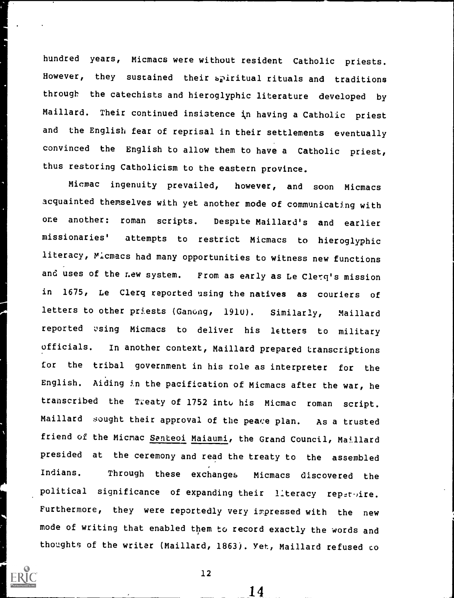hundred years, Micmacs were without resident Catholic priests. However, they sustained their spiritual rituals and traditions through the catechists and hieroglyphic literature developed by Maillard. Their continued insistence in having a Catholic priest and the English fear of reprisal in their settlements eventually convinced the English to allow them to have <sup>a</sup> Catholic priest, thus restoring Catholicism to the eastern province.

Micmac ingenuity prevailed, however, and soon Micmacs acquainted themselves with yet another mode of communicating with one another: roman scripts. Despite Maillard's and earlier missionaries' attempts to restrict Micmacs to hieroglyphic literacy, Micmacs had many opportunities to witness new functions and uses of the new system. From as early as Le Clerq's mission in 1675, Le Clerq reported using the natives as couriers of letters to other priests (Gancng, 1910). Similarly, Maillard reported using Micmacs to deliver his letters to military officials. In another context, Maillard prepared transcriptions for the tribal government in his role as interpreter for the English. Aiding in the pacification of Micmacs after the war, he transcribed the Treaty of 1752 into his Micmac roman script. Maillard sought their approval of the peace plan. As a trusted friend of the Micmac Santeoi Maiaumi, the Grand Council, Maillard presided at the ceremony and read the treaty to the assembled Indians. Through these exchanges Micmacs discovered the political significance of expanding their literacy repermire. Furthermore, they were reportedly very impressed with the new mode of writing that enabled them to record exactly the words and thoughts of the writer (Maillard, 1863). Yet, Maillard refused co

12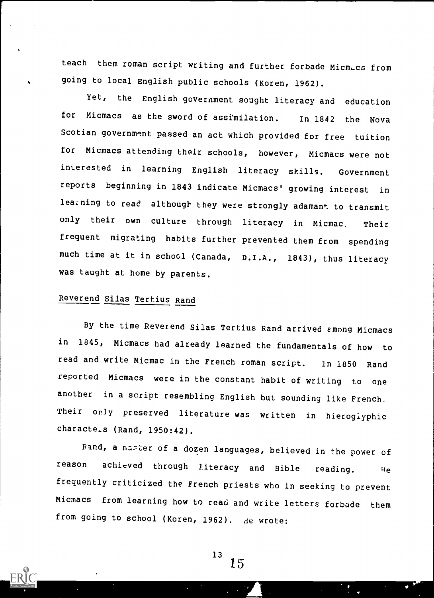teach them roman script writing and further forbade Micmacs from going to local English public schools (Koren, 1962).

Yet, the English government sought literacy and education for Micmacs as the sword of assimilation. In 1842 the Nova Scotian government passed an act which provided for free tuition for Micmacs attending their schools, however, Micmacs were not interested in learning English literacy skills. Government reports beginning in 1843 indicate Micmacs' growing interest in learning to read although they were strongly adamant to transmit only their own culture through literacy in Micmac, Their frequent migrating habits further prevented them from spending much time at it in school (Canada, D.I.A., 1843), thus literacy was taught at home by parents.

### Reverend Silas Tertius Rand

By the time Reverend Silas Tertius Rand arrived emong Micmacs in 1845, Micmacs had already learned the fundamentals of how to read and write Micmac in the French roman script. In 1850 Rand reported Micmacs were in the constant habit of writing to one another in a script resembling English but sounding like French. Their only preserved literature was written in hieroglyphic characte.s (Rand, 1950:42).

Pand, a master of a dozen languages, believed in the power of reason achieved through literacy and Bible reading. He frequently criticized the French priests who in seeking to prevent Micmacs from learning how to read and write letters forbade them from going to school (Koren, 1962). de wrote: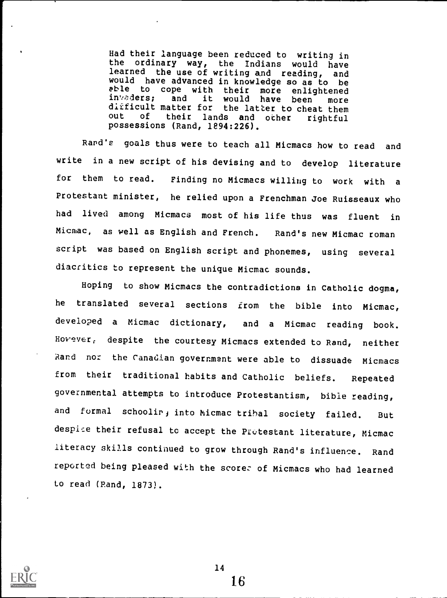Had their language been reduced to writing in ordinary way, the Indians would have learned the use of writing and reading, and would have advanced in knowledge so as to be<br>able to cope with their more enlightened able to cope with their more enlig<br>invaders; and it would have been in vaders; and it would have been more dirficult matter for the latter to cheat them out of their lands and ocher rightful possessions (Rand, 1894:226).

Rand's goals thus were to teach all Micmacs how to read and write in a new script of his devising and to develop literature for them to read. Finding no Micmacs willing to work with <sup>a</sup> Protestant minister, he relied upon a Frenchman Joe Ruisseaux who had lived among Micmacs most of his life thus was fluent in Micmac, as well as English and French. Rand's new Micmac roman script was based on English script and phonemes, using several diacritics to represent the unique Micmac sounds.

Hoping to show Micmacs the contradictions in Catholic dogma, he translated several sections from the bible into Micmac, developed <sup>a</sup> Micmac dictionary, and <sup>a</sup> Micmac reading book. However; despite the courtesy Micmacs extended to Rand, neither Rand nor the Canadian government were able to dissuade Micmacs from their traditional habits and Catholic beliefs. Repeated governmental attempts to introduce Protestantism, bible reading, and formal schoolir, into Micmac tribal society failed. But despire their refusal to accept the Protestant literature, Micmac literacy skills continued to grow through Rand's influence. Rand reported being pleased with the score; of Micmacs who had learned to read (Rand, 1873).

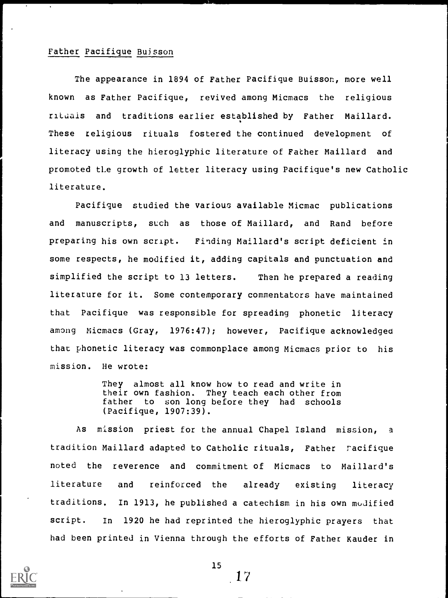### Father Pacifique Buisson

The appearance in 1894 of Father Pacifique Buisson, more well known as Father Pacifique, revived among Micmacs the religious rituals and traditions earlier established by Father Maillard. These religious rituals fostered the continued development of literacy using the hieroglyphic literature of Father Maillard and promoted tLe growth of letter literacy using Pacifique's new Catholic literature.

Pacifique studied the various available Micmac publications and manuscripts, such as those of Maillard, and Rand before preparing his own script. Finding Maillard's script deficient in some respects, he modified it, adding capitals and punctuation and simplified the script to 13 letters. Then he prepared a reading literature for it. Some contemporary commentators have maintained that Pacifique was responsible for spreading phonetic literacy among Micmacs (Gray, 1976:47); however, Pacifique acknowledged that phonetic literacy was commonplace among Micmacs prior to his mission. He wrote:

> They almost all know how to read and write in<br>their own fashion. They teach each other from They teach each other from father to son long before they had schools (Pacifique, 1907:39).

As mission priest for the annual Chapel Island mission, <sup>a</sup> tradition Maillard adapted to Catholic rituals, Father racifique noted the reverence and commitment of Micmacs to Maillard's literature and reinforced the already existing literacy traditions. In 1913, he published a catechism in his own modified script. In 1920 he had reprinted the hieroglyphic prayers that had been printed in Vienna through the efforts of Father Kauder in



 $15$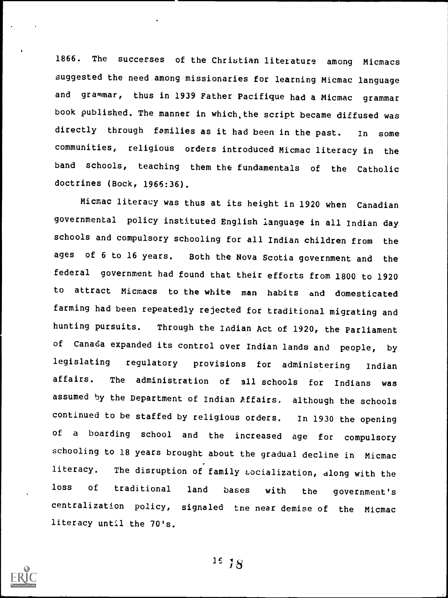1866. The successes of the Christian literature among Micmacs suggested the need among missionaries for learning Micmac language and grammar, thus in 1939 Father Pacifique had a Micmac grammar book published. The manner in which,the script became diffused was directly through families as it had been in the past. In some communities, religious orders introduced Micmac literacy in the band schools, teaching them the fundamentals of the Catholic doctrines (Bock, 1966:36).

Micmac literacy was thus at its height in 1920 when Canadian governmental policy instituted English language in all Indian day schools and compulsory schooling for all Indian children from the ages of 6 to 16 years. Both the Nova Scotia government and the federal government had found that their efforts from 1800 to 1920 to attract Micmacs to the white man habits and domesticated farming had been repeatedly rejected for traditional migrating and hunting pursuits. Through the Indian Act of 1920, the Parliament of Canada expanded its control over Indian lands and people, by legislating regulatory provisions for administering Indian affairs. The administration of all schools for Indians was assumed by the Department of Indian Affairs, although the schools continued to be staffed by religious orders. In 1930 the opening of <sup>a</sup> boarding school and the increased age for compulsory schooling to 18 years brought about the gradual decline in Micmac literacy. The disruption of family socialization, along with the loss of traditional land bases with the government's centralization policy, signaled tne near demise of the Micmac literacy until the 70's.

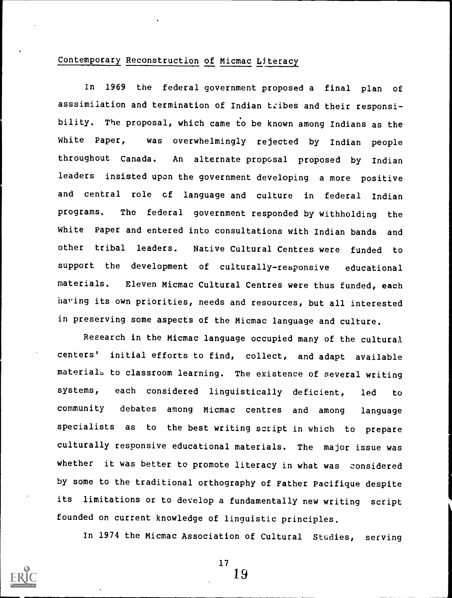### Contemporary Reconstruction of Micmac Literacy

In 1969 the federal government proposed a final plan of asssimiiation and termination of Indian tribes and their responsibility. The proposal, which came to be known among Indians as the White Paper, was overwhelmingly rejected by Indian people throughout Canada. An alternate proposal proposed by Indian leaders insisted upon the government developing a more positive and central role of language and culture in federal Indian programs. The federal government responded by withholding the White Paper and entered into consultations with Indian bands and other tribal leaders. Native Cultural Centres were funded to support the development of culturally-responsive educational materials. Eleven Micmac Cultural Centres were thus funded, each having its own priorities, needs and resources, but all interested in preserving some aspects of the Micmac language and culture.

Research in the Micmac language occupied many of the cultural centers' initial efforts to find, collect, and adapt available materials to classroom learning. The existence of several writing systems, each considered linguistically deficient, led to community debates among Micmac centres and among language specialists as to the best writing script in which to prepare culturally responsive educational materials. The major issue was whether it was better to promote literacy in what was considered by some to the traditional orthography of Father Pacifique despite its limitations or to develop a fundamentally new writing script founded on current knowledge of linguistic principles.

In 1974 the Micmac Association of Cultural Studies, serving



17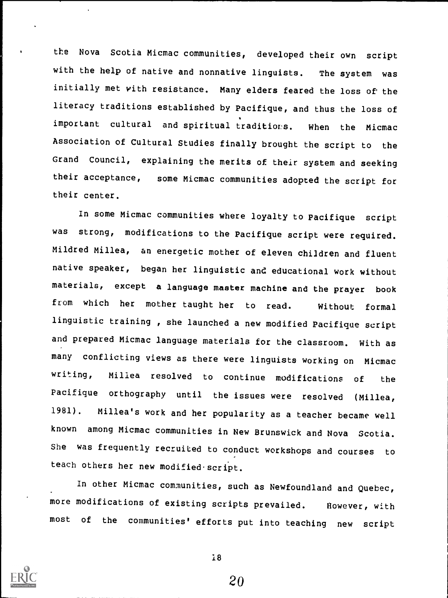the Nova Scotia Micmac communities, developed their own script with the help of native and nonnative linguists. The system was initially met with resistance. Many elders feared the loss of the literacy traditions established by Pacifique, and thus the loss of important cultural and spiritual traditions. When the Micmac Association of Cultural Studies finally brought the script to the Grand Council, explaining the merits of their system and seeking their acceptance, some Micmac communities adopted the script for their center.

In some Micmac communities where loyalty to Pacifique script was strong, modifications to the Pacifique script were required. Mildred Millea, an energetic mother of eleven children and fluent native speaker, began her linguistic and educational work without materials, except a language master machine and the prayer book from which her mother taught her to read. Without formal linguistic training , she launched a new modified Pacifique script and prepared Micmac language materials for the classroom. With as many conflicting views as there were linguists working on Micmac writing, Millea resolved to continue modifications of the Pacifique orthography until the issues were resolved (Millea, 1981). Millea's work and her popularity as a teacher became well known among Micmac communities in New Brunswick and Nova Scotia. She was frequently recruited to conduct workshops and courses to teach others her new modified script.

In other Micmac communities, such as Newfoundland and Quebec, more modifications of existing scripts prevailed. However, with most of the communities' efforts put into teaching new script

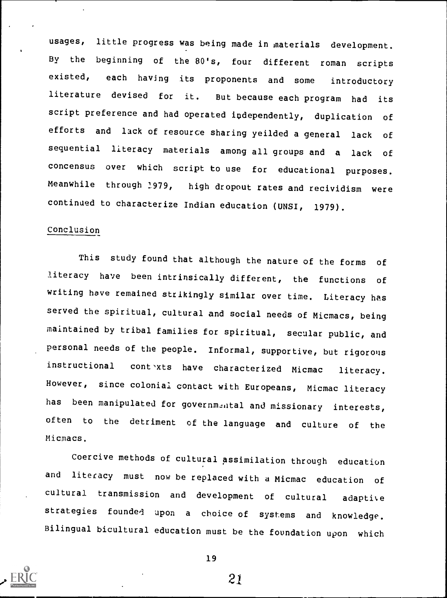usages, little progress was being made in materials development. By the beginning of the 80's, four different roman scripts existed, each having its proponents and some introductory literature devised for it. But because each program had its script preference and had operated independently, duplication of efforts and lack of resource sharing yeilded a general lack of sequential literacy materials among all groups and <sup>a</sup> lack of concensus over which script to use for educational purposes. Meanwhile through 1979, high dropout rates and recividism were continued to characterize Indian education (UNSI, 1979).

### Conclusion

This study found that although the nature of the forms of literacy have been intrinsically different, the functions of writing have remained strikingly similar over time. Literacy has served the spiritual, cultural and social needs of Micmacs, being maintained by tribal families for spiritual, secular public, and personal needs of the people. Informal, supportive, but rigorous instructional contexts have characterized Micmac literacy. However, since colonial contact with Europeans, Micmac literacy has been manipulated for governmental and missionary interests, often to the detriment of the language and culture of the Micmacs.

Coercive methods of cultural assimilation through education and literacy must now be replaced with a Micmac education of cultural transmission and development of cultural adaptive strategies founded upon <sup>a</sup> choice of systems and knowledge. Bilingual bicultural education must be the foundation upon which



19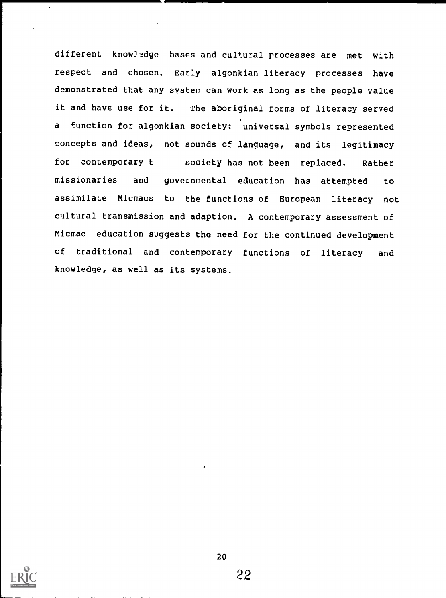different knowledge bases and cultural processes are met with respect and chosen. Early algonkian literacy processes have demonstrated that any system can work es long as the people value it and have use for it. The aboriginal forms of literacy served a function for algonkian society: universal symbols represented concepts and ideas, not sounds of language, and its legitimacy for contemporary t society has not been replaced. Rather missionaries and governmental education has attempted to assimilate Micmacs to the functions of European literacy not cultural transmission and adaption. A contemporary assessment of Micmac education suggests the need for the continued development of traditional and contemporary functions of literacy and knowledge, as well as its systems.

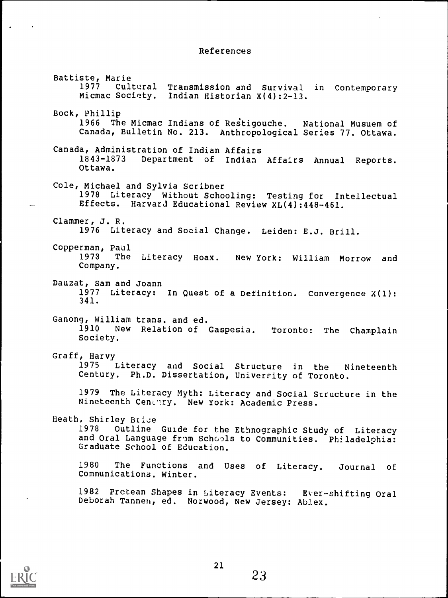### References

Battiste, Marie 1977 Cultural Transmission and Survival in Contemporary Micmac Society. Indian Historian X(4):2-13. Bock, Phillip 1966 The Micmac Indians of Restigouche. National Musuem of Canada, Bulletin No. 213. Anthropological Series 77. Ottawa. Canada, Administration of Indian Affairs Department of Indian Affairs Annual Reports. Ottawa. Cole, Michael and Sylvia Scribner 1978 Literacy Without Schooling: Testing for Intellectual Effects. Harvard Educational Review XL(4):448-461. Clammer, J. R. 1976 Literacy and Social Change. Leiden: E.J. Brill. Copperman, Paul The Literacy Hoax. New York: William Morrow and Company. Dauzat, Sam and Joann 1977 Literacy: In Quest of a Definition. Convergence X(1): 341. Ganong, William trans. and ed.<br>1910 New Relation of New Relation of Gaspesia. Toronto: The Champlain Society. Graff, Harvy 1975 Literacy and Social Structure in the Nineteenth Century. Ph.D. Dissertation, University of Toronto. 1979 The Literacy Myth: Literacy and Social Structure in the Nineteenth Cenclry. New York: Academic Press. Heath, Shirley Brice 1978 Outline Guide for the Ethnographic Study of Literacy and Oral Language from Schools to Communities. Philadelphia: Graduate School of Education. 1980 The Functions and Uses of Literacy. Journal of Communications. Winter. 1982 Protean Shapes in Literacy Events: Ever-shifting Oral Deborah Tannen, ed. Norwood, New Jersey: Ablex.



23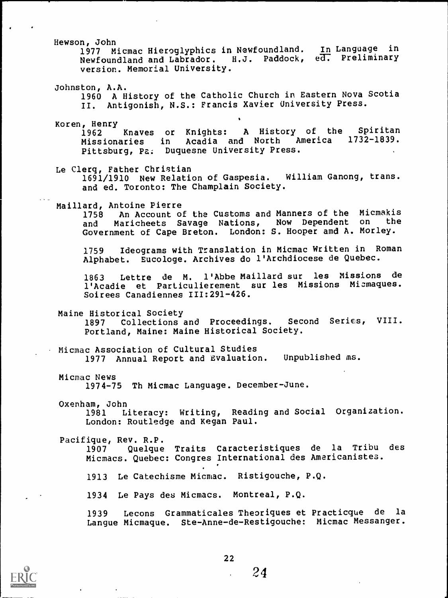Hewson, John 1977 Micmac Hieroglyphics in Newfoundland. In Language in Newfoundland and Labrador. H.J. Paddock, ed. Preliminary version. Memorial University. Johnston, A.A. 1960 A History of the Catholic Church in Eastern Nova Scotia II. Antigonish, N.S.: Francis Xavier University Press. Koren, Henry Knaves or Knights: A History of the Spiritan Missionaries in Acadia and North America 1732-1839. Pittsburg, Pa. Duquesne University Press. Le Clerq, Father Christian 1691/1910 New Relation of Gaspesia. William Ganong, trans. and ed. Toronto: The Champlain Society. Maillard, Antoine Pierre 1758 An Account of the Customs and Manners of the Micmakis<br>and Maricheets Savage Nations, Now Dependent on the Maricheets Savage Nations, Now Dependent on Government of Cape Breton. London: S. Hooper amd A. Morley. 1759 Ideograms with Translation in Micmac Written in Roman Alphabet. Eucologe. Archives do l'Archdiocese de Quebec. 1863 Lettre de M. l'Abbe Maillard sur les Missions de 1'Acadie et Particulierement sur les Missions Micmaques. Soirees Canadiennes 111:291-426. Maine Historical Society 1897 Collections and Proceedings. Second Series, VIII. Portland, Maine: Maine Historical Society. Micmac Association of Cultural Studies 1977 Annual Report and Evaluation. Unpublished ms. Micmac News 1974-75 Th Micmac Language. December-June. Oxenham, John 1981 Literacy: Writing, Reading and Social Organization. London: Routledge and Kegan Paul. Pacifique, Rev. R.P. 1907 Quelque Traits Caracteristiques de la Tribu des Micmacs. Quebec: Congres International des Americanistes. 1913 Le Catechisme Micmac. Ristigouche, P.Q. 1934 Le Pays des Micmacs. Montreal, P.Q. 1939 Lecons Grammaticales Theoriques et Practicque de la Langue Micmaque. Ste-Anne-de-Restigouche: Micmac Messanger.